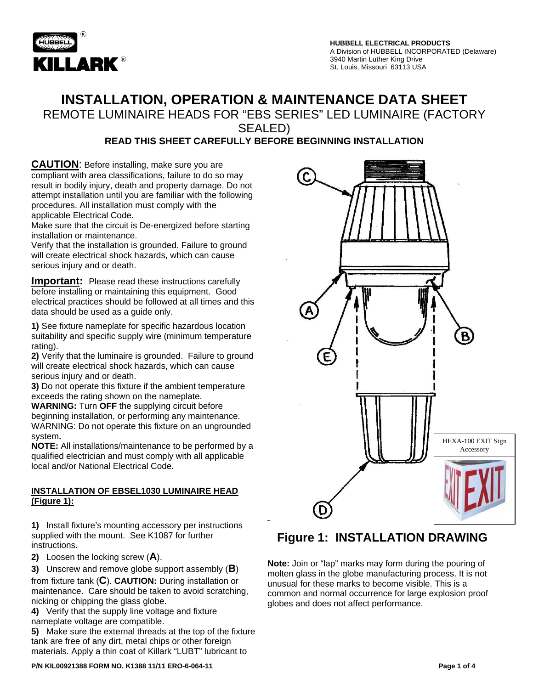

## **INSTALLATION, OPERATION & MAINTENANCE DATA SHEET**

REMOTE LUMINAIRE HEADS FOR "EBS SERIES" LED LUMINAIRE (FACTORY

SEALED)

### **READ THIS SHEET CAREFULLY BEFORE BEGINNING INSTALLATION**

**CAUTION**: Before installing, make sure you are compliant with area classifications, failure to do so may result in bodily injury, death and property damage. Do not attempt installation until you are familiar with the following procedures. All installation must comply with the applicable Electrical Code.

Make sure that the circuit is De-energized before starting installation or maintenance.

Verify that the installation is grounded. Failure to ground will create electrical shock hazards, which can cause serious injury and or death.

**Important:** Please read these instructions carefully before installing or maintaining this equipment. Good electrical practices should be followed at all times and this data should be used as a guide only.

**1)** See fixture nameplate for specific hazardous location suitability and specific supply wire (minimum temperature rating).

**2)** Verify that the luminaire is grounded. Failure to ground will create electrical shock hazards, which can cause serious injury and or death.

**3)** Do not operate this fixture if the ambient temperature exceeds the rating shown on the nameplate.

**WARNING:** Turn **OFF** the supplying circuit before beginning installation, or performing any maintenance. WARNING: Do not operate this fixture on an ungrounded system**.** 

**NOTE:** All installations/maintenance to be performed by a qualified electrician and must comply with all applicable local and/or National Electrical Code.

#### **INSTALLATION OF EBSEL1030 LUMINAIRE HEAD (Figure 1):**

**1)** Install fixture's mounting accessory per instructions supplied with the mount. See K1087 for further instructions.

**2)** Loosen the locking screw (**A**).

**3)** Unscrew and remove globe support assembly (**B**) from fixture tank (**C**). **CAUTION:** During installation or maintenance. Care should be taken to avoid scratching, nicking or chipping the glass globe.

**4)** Verify that the supply line voltage and fixture nameplate voltage are compatible.

**5)** Make sure the external threads at the top of the fixture tank are free of any dirt, metal chips or other foreign materials. Apply a thin coat of Killark "LUBT" lubricant to



## **Figure 1: INSTALLATION DRAWING**

**Note:** Join or "lap" marks may form during the pouring of molten glass in the globe manufacturing process. It is not unusual for these marks to become visible. This is a common and normal occurrence for large explosion proof globes and does not affect performance.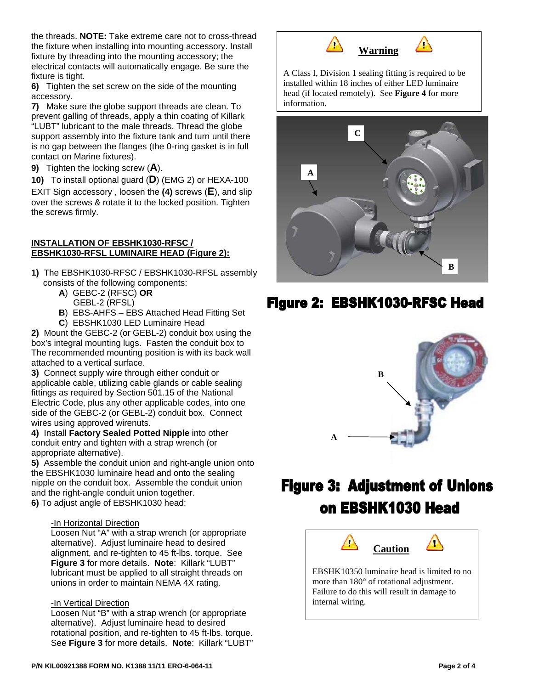the threads. **NOTE:** Take extreme care not to cross-thread the fixture when installing into mounting accessory. Install fixture by threading into the mounting accessory; the electrical contacts will automatically engage. Be sure the fixture is tight.

**6)** Tighten the set screw on the side of the mounting accessory.

**7)** Make sure the globe support threads are clean. To prevent galling of threads, apply a thin coating of Killark "LUBT" lubricant to the male threads. Thread the globe support assembly into the fixture tank and turn until there is no gap between the flanges (the 0-ring gasket is in full contact on Marine fixtures).

**9)** Tighten the locking screw (**A**).

**10)** To install optional guard (**D**) (EMG 2) or HEXA-100 EXIT Sign accessory , loosen the **(4)** screws (**E**), and slip over the screws & rotate it to the locked position. Tighten the screws firmly.

#### **INSTALLATION OF EBSHK1030-RFSC / EBSHK1030-RFSL LUMINAIRE HEAD (Figure 2):**

- **1)** The EBSHK1030-RFSC / EBSHK1030-RFSL assembly consists of the following components:
	- **A**) GEBC-2 (RFSC) **OR**
		- GEBL-2 (RFSL)
	- **B**) EBS-AHFS EBS Attached Head Fitting Set
	- **C**) EBSHK1030 LED Luminaire Head

**2)** Mount the GEBC-2 (or GEBL-2) conduit box using the box's integral mounting lugs. Fasten the conduit box to The recommended mounting position is with its back wall attached to a vertical surface.

**3)** Connect supply wire through either conduit or applicable cable, utilizing cable glands or cable sealing fittings as required by Section 501.15 of the National Electric Code, plus any other applicable codes, into one side of the GEBC-2 (or GEBL-2) conduit box. Connect wires using approved wirenuts.

**4)** Install **Factory Sealed Potted Nipple** into other conduit entry and tighten with a strap wrench (or appropriate alternative).

**5)** Assemble the conduit union and right-angle union onto the EBSHK1030 luminaire head and onto the sealing nipple on the conduit box. Assemble the conduit union and the right-angle conduit union together.

**6)** To adjust angle of EBSHK1030 head:

#### -In Horizontal Direction

Loosen Nut "A" with a strap wrench (or appropriate alternative). Adjust luminaire head to desired alignment, and re-tighten to 45 ft-lbs. torque. See **Figure 3** for more details. **Note**: Killark "LUBT" lubricant must be applied to all straight threads on unions in order to maintain NEMA 4X rating.

#### -In Vertical Direction

Loosen Nut "B" with a strap wrench (or appropriate alternative). Adjust luminaire head to desired rotational position, and re-tighten to 45 ft-lbs. torque. See **Figure 3** for more details. **Note**: Killark "LUBT"



A Class I, Division 1 sealing fitting is required to be installed within 18 inches of either LED luminaire head (if located remotely). See **Figure 4** for more information.



## Figure 2: EBSHK1030-RFSC Head



# **Figure 3: Adjustment of Unions** on EBSHK1030 Head

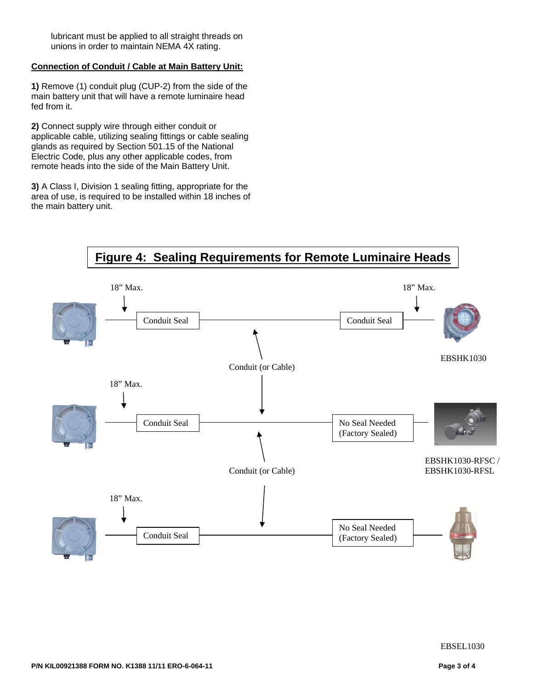lubricant must be applied to all straight threads on unions in order to maintain NEMA 4X rating.

#### **Connection of Conduit / Cable at Main Battery Unit:**

**1)** Remove (1) conduit plug (CUP-2) from the side of the main battery unit that will have a remote luminaire head fed from it.

**2)** Connect supply wire through either conduit or applicable cable, utilizing sealing fittings or cable sealing glands as required by Section 501.15 of the National Electric Code, plus any other applicable codes, from remote heads into the side of the Main Battery Unit.

**3)** A Class I, Division 1 sealing fitting, appropriate for the area of use, is required to be installed within 18 inches of the main battery unit.